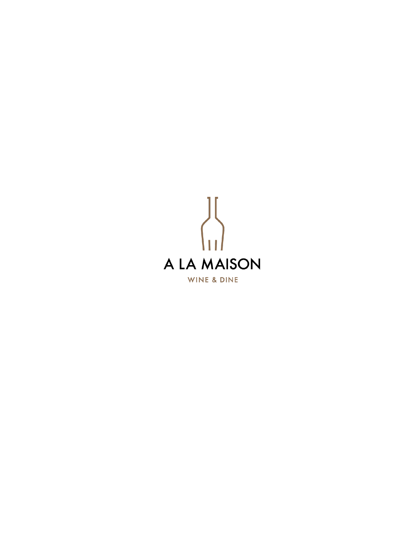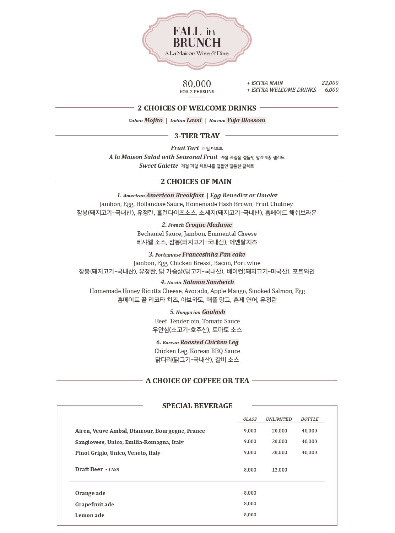

80,000 FOR 2 PERSONS

22,000 + EXTRA MAIN + EXTRA WELCOME DRINKS 6,000

#### 2 CHOICES OF WELCOME DRINKS -

Cuban Mojito | Indian Lassi | Korean Yuja Blossom

#### 3-TIER TRAY -

Fruit Tart 과일타르트

A la Maison Salad with Seasonal Fruit 계절 과일을 곁들인 알라메종 샐러드 Sweet Galette 계절 과일 처트니를 곁들인 달콤한 갈레트

#### 2 CHOICES OF MAIN -

1. American American Breakfast | Egg Benedict or Omelet Jambon, Egg, Hollandise Sauce, Homemade Hash Brown, Fruit Chutney 잠봉(돼지고기-국내산), 유정란, 홀렌다이즈소스, 소세지(돼지고기-국내산), 홈메이드 해쉬브라운

#### 2. French Croque Madame

Bechamel Sauce, Jambon, Emmental Cheese 베샤멜 소스, 잠봉(돼지고기-국내산), 에멘탈치즈

#### 3. Portuguese Francesinha Pan cake

Jambon, Egg, Chicken Breast, Bacon, Port wine 잠봉(돼지고기-국내산), 유정란, 닭 가슴살(닭고기-국내산), 베이컨(돼지고기-미국산), 포트와인

#### 4. Nordic Salmon Sandwich

Homemade Honey Ricotta Cheese, Avocado, Apple Mango, Smoked Salmon, Egg 홈메이드 꿀 리코타 치즈, 아보카도, 애플 망고, 훈제 연어, 유정란

#### 5. Hungarian Goulash

Beef Tenderloin, Tomato Sauce 우안심(소고기-호주산), 토마토 소스

#### 6. Korean Roasted Chicken Leg

Chicken Leg, Korean BBQ Sauce 닭다리(닭고기-국내산), 갈비 소스

#### **A CHOICE OF COFFEE OR TEA -**

#### **SPECIAL BEVERAGE**

|                                                | GLASS | UNLIMITED | BOTTLE |
|------------------------------------------------|-------|-----------|--------|
| Airen, Veuve Ambal, Diamour, Bourgogne, France | 9,000 | 20,000    | 40,000 |
| Sangiovese, Unico, Emilia-Romagna, Italy       | 9,000 | 20,000    | 40,000 |
| Pinot Grigio, Unico, Veneto, Italy             | 9,000 | 20,000    | 40,000 |
| Draft Beer - CASS                              | 8,000 | 12,000    |        |
| Orange ade                                     | 8,000 |           |        |
| Grapefruit ade                                 | 8,000 |           |        |
| Lemon ade                                      | 8,000 |           |        |
|                                                |       |           |        |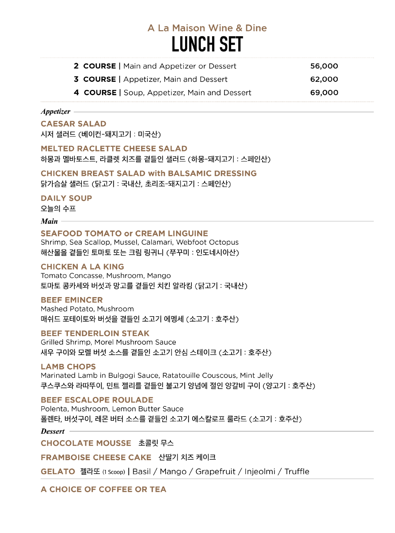# A La Maison Wine & Dine **LUNCH SET**

| <b>2 COURSE</b>   Main and Appetizer or Dessert | 56,000 |
|-------------------------------------------------|--------|
| <b>3 COURSE</b>   Appetizer, Main and Dessert   | 62,000 |
| 4 COURSE   Soup, Appetizer, Main and Dessert    | 69,000 |

### Appetizer -

### **CAESAR SALAD**

시저 샐러드 (베이컨-돼지고기 : 미국산)

**MELTED RACLETTE CHEESE SALAD** 

하몽과 멜바토스트, 라클렛 치즈를 곁들인 샐러드 (하몽-돼지고기 : 스페인산)

## **CHICKEN BREAST SALAD with BALSAMIC DRESSING**

닭가슴살 샐러드 (닭고기 : 국내산, 초리조-돼지고기 : 스페인산)

## **DAILY SOUP**

오늘의 수프

### $$

## **SEAFOOD TOMATO or CREAM LINGUINE**

Shrimp, Sea Scallop, Mussel, Calamari, Webfoot Octopus 해산물을 곁들인 토마토 또는 크림 링귀니 (쭈꾸미 : 인도네시아산)

# **CHICKEN A LA KING**

Tomato Concasse, Mushroom, Mango 토마토 콩카세와 버섯과 망고를 곁들인 치킨 알라킹 (닭고기 : 국내산)

### **BEEF EMINCER**

Mashed Potato, Mushroom 매쉬드 포테이토와 버섯을 곁들인 소고기 에멩세 (소고기 : 호주산)

# **BEEF TENDERLOIN STEAK**

Grilled Shrimp, Morel Mushroom Sauce 새우 구이와 모렐 버섯 소스를 곁들인 소고기 안심 스테이크 (소고기 : 호주산)

### **LAMB CHOPS**

Marinated Lamb in Bulgogi Sauce, Ratatouille Couscous, Mint Jelly 쿠스쿠스와 라따뚜이, 민트 젤리를 곁들인 불고기 양념에 절인 양갈비 구이 (양고기 : 호주산)

# **BEEF ESCALOPE ROULADE**

Polenta, Mushroom, Lemon Butter Sauce 폴렌타, 버섯구이, 레몬 버터 소스를 곁들인 소고기 에스칼로프 룰라드 (소고기 : 호주산)

### $Desert -$

CHOCOLATE MOUSSE 초콜릿 무스

FRAMBOISE CHEESE CAKE 산딸기 치즈 케이크

GELATO 젤라또 (1 Scoop) | Basil / Mango / Grapefruit / Injeolmi / Truffle

# A CHOICE OF COFFEE OR TEA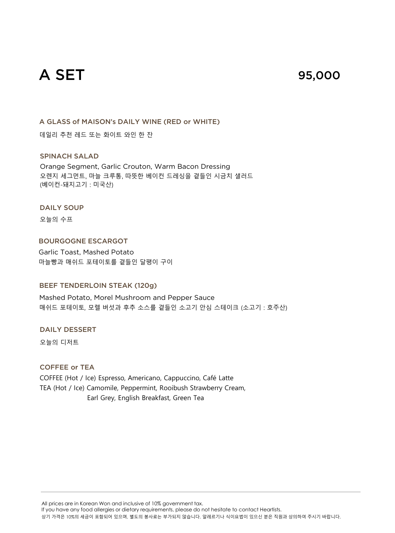# A SET

# 95,000

A GLASS of MAISON's DAILY WINE (RED or WHITE)

데일리 추천 레드 또는 화이트 와인 한 잔

#### SPINACH SALAD

Orange Segment, Garlic Crouton, Warm Bacon Dressing 오렌지 세그먼트, 마늘 크루통, 따뜻한 베이컨 드레싱을 곁들인 시금치 샐러드 (베이컨-돼지고기 : 미국산)

#### DAILY SOUP

오늘의 수프

BOURGOGNE ESCARGOT Garlic Toast, Mashed Potato 마늘빵과 매쉬드 포테이토를 곁들인 달팽이 구이

### BEEF TENDERLOIN STEAK (120g)

Mashed Potato, Morel Mushroom and Pepper Sauce 매쉬드 포테이토, 모렐 버섯과 후추 소스를 곁들인 소고기 안심 스테이크 (소고기 : 호주산)

DAILY DESSERT

오늘의 디저트

### COFFEE or TEA

COFFEE (Hot / Ice) Espresso, Americano, Cappuccino, Café Latte TEA (Hot / Ice) Camomile, Peppermint, Rooibush Strawberry Cream, Earl Grey, English Breakfast, Green Tea

All prices are in Korean Won and inclusive of 10% government tax.

If you have any food allergies or dietary requirements, please do not hesitate to contact Heartists.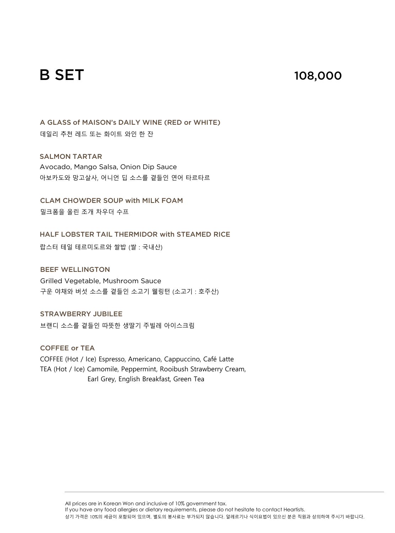# B SET

# 108,000

A GLASS of MAISON's DAILY WINE (RED or WHITE) 데일리 추천 레드 또는 화이트 와인 한 잔

SALMON TARTAR

Avocado, Mango Salsa, Onion Dip Sauce 아보카도와 망고살사, 어니언 딥 소스를 곁들인 연어 타르타르

CLAM CHOWDER SOUP with MILK FOAM 밀크폼을 올린 조개 차우더 수프

HALF LOBSTER TAIL THERMIDOR with STEAMED RICE

랍스터 테일 테르미도르와 쌀밥 (쌀 : 국내산)

BEEF WELLINGTON Grilled Vegetable, Mushroom Sauce 구운 야채와 버섯 소스를 곁들인 소고기 웰링턴 (소고기 : 호주산)

STRAWBERRY JUBILEE 브랜디 소스를 곁들인 따뜻한 생딸기 주빌레 아이스크림

COFFEE or TEA COFFEE (Hot / Ice) Espresso, Americano, Cappuccino, Café Latte TEA (Hot / Ice) Camomile, Peppermint, Rooibush Strawberry Cream, Earl Grey, English Breakfast, Green Tea

> All prices are in Korean Won and inclusive of 10% government tax. If you have any food allergies or dietary requirements, please do not hesitate to contact Heartists. 상기 가격은 10%의 세금이 포함되어 있으며, 별도의 봉사료는 부가되지 않습니다. 알레르기나 식이요법이 있으신 분은 직원과 상의하여 주시기 바랍니다.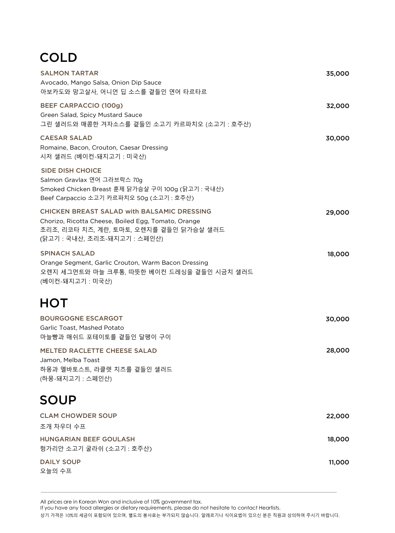# **COLD**

| <b>SALMON TARTAR</b><br>Avocado, Mango Salsa, Onion Dip Sauce<br>아보카도와 망고살사, 어니언 딥 소스를 곁들인 연어 타르타르                                                                                   | 35,000 |
|--------------------------------------------------------------------------------------------------------------------------------------------------------------------------------------|--------|
| <b>BEEF CARPACCIO (100g)</b><br>Green Salad, Spicy Mustard Sauce<br>그린 샐러드와 매콤한 겨자소스를 곁들인 소고기 카르파치오 (소고기 : 호주산)                                                                      | 32,000 |
| <b>CAESAR SALAD</b><br>Romaine, Bacon, Crouton, Caesar Dressing<br>시저 샐러드 (베이컨-돼지고기:미국산)                                                                                             | 30,000 |
| <b>SIDE DISH CHOICE</b><br>Salmon Gravlax 연어 그라브락스 70g<br>Smoked Chicken Breast 훈제 닭가슴살 구이 100g (닭고기 : 국내산)<br>Beef Carpaccio 소고기 카르파치오 50g (소고기 : 호주산)                              |        |
| <b>CHICKEN BREAST SALAD with BALSAMIC DRESSING</b><br>Chorizo, Ricotta Cheese, Boiled Egg, Tomato, Orange<br>초리조, 리코타 치즈, 계란, 토마토, 오렌지를 곁들인 닭가슴살 샐러드<br>(닭고기 : 국내산, 초리조-돼지고기 : 스페인산) | 29,000 |
| <b>SPINACH SALAD</b><br>Orange Segment, Garlic Crouton, Warm Bacon Dressing<br>오렌지 세그먼트와 마늘 크루통, 따뜻한 베이컨 드레싱을 곁들인 시금치 샐러드<br>(베이컨-돼지고기:미국산)                                          | 18,000 |
| <b>HOT</b>                                                                                                                                                                           |        |
| <b>BOURGOGNE ESCARGOT</b><br>Garlic Toast, Mashed Potato<br>마늘빵과 매쉬드 포테이토를 곁들인 달팽이 구이                                                                                                | 30,000 |
| <b>MELTED RACLETTE CHEESE SALAD</b><br>Jamon, Melba Toast<br>하몽과 멜바토스트, 라클렛 치즈를 곁들인 샐러드<br>(하몽-돼지고기:스페인산)                                                                            | 28,000 |
| <b>SOUP</b>                                                                                                                                                                          |        |
| <b>CLAM CHOWDER SOUP</b><br>조개 차우더 수프                                                                                                                                                | 22,000 |
| HUNGARIAN BEEF GOULASH<br>헝가리안 소고기 굴라쉬 (소고기 : 호주산)                                                                                                                                   | 18,000 |
| <b>DAILY SOUP</b><br>오늘의 수프                                                                                                                                                          | 11,000 |

All prices are in Korean Won and inclusive of 10% government tax.

If you have any food allergies or dietary requirements, please do not hesitate to contact Heartists.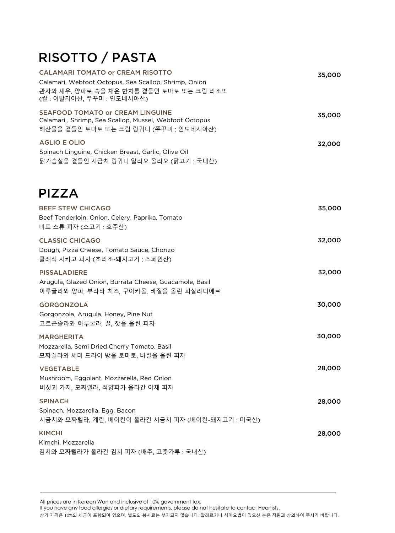# RISOTTO / PASTA

| <b>CALAMARI TOMATO or CREAM RISOTTO</b><br>Calamari, Webfoot Octopus, Sea Scallop, Shrimp, Onion<br>관자와 새우, 양파로 속을 채운 한치를 곁들인 토마토 또는 크림 리조또<br>(쌀 : 이탈리아산, 쭈꾸미 : 인도네시아산) | 35,000 |
|--------------------------------------------------------------------------------------------------------------------------------------------------------------------------|--------|
| <b>SEAFOOD TOMATO or CREAM LINGUINE</b><br>Calamari, Shrimp, Sea Scallop, Mussel, Webfoot Octopus<br>해산물을 곁들인 토마토 또는 크림 링귀니 (쭈꾸미 : 인도네시아산)                               | 35,000 |
| <b>AGLIO E OLIO</b><br>Spinach Linguine, Chicken Breast, Garlic, Olive Oil<br>닭가슴살을 곁들인 시금치 링귀니 알리오 올리오 (닭고기 : 국내산)                                                      | 32,000 |
| <b>PIZZA</b>                                                                                                                                                             |        |
| <b>BEEF STEW CHICAGO</b><br>Beef Tenderloin, Onion, Celery, Paprika, Tomato<br>비프 스튜 피자 (소고기 : 호주산)                                                                      | 35,000 |
| <b>CLASSIC CHICAGO</b><br>Dough, Pizza Cheese, Tomato Sauce, Chorizo<br>클래식 시카고 피자 (초리조-돼지고기 : 스페인산)                                                                     | 32,000 |
| <b>PISSALADIERE</b><br>Arugula, Glazed Onion, Burrata Cheese, Guacamole, Basil<br>아루굴라와 양파, 부라타 치즈, 구아카몰, 바질을 올린 피살라디에르                                                  | 32,000 |
| <b>GORGONZOLA</b><br>Gorgonzola, Arugula, Honey, Pine Nut<br>고르곤졸라와 아루굴라, 꿀, 잣을 올린 피자                                                                                    | 30,000 |
| <b>MARGHERITA</b><br>Mozzarella, Semi Dried Cherry Tomato, Basil<br>모짜렐라와 세미 드라이 방울 토마토, 바질을 올린 피자                                                                       | 30,000 |
| <b>VEGETABLE</b><br>Mushroom, Eggplant, Mozzarella, Red Onion<br>버섯과 가지, 모짜렐라, 적양파가 올라간 야채 피자                                                                            | 28,000 |
| <b>SPINACH</b><br>Spinach, Mozzarella, Egg, Bacon<br>시금치와 모짜렐라, 계란, 베이컨이 올라간 시금치 피자 (베이컨-돼지고기 : 미국산)                                                                     | 28,000 |
| <b>KIMCHI</b><br>Kimchi, Mozzarella<br>김치와 모짜렐라가 올라간 김치 피자 (배추, 고춧가루 : 국내산)                                                                                              | 28,000 |

All prices are in Korean Won and inclusive of 10% government tax.

If you have any food allergies or dietary requirements, please do not hesitate to contact Heartists.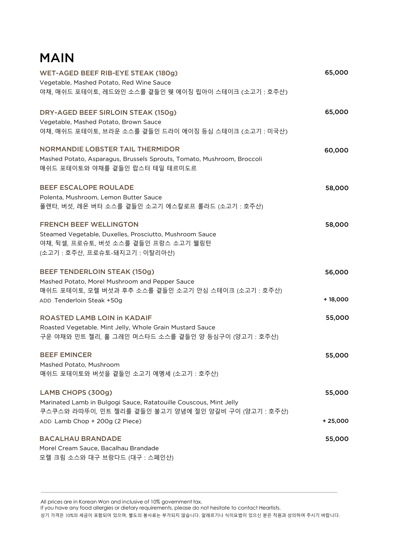# MAIN

| WET-AGED BEEF RIB-EYE STEAK (180g)                                     | 65,000    |
|------------------------------------------------------------------------|-----------|
| Vegetable, Mashed Potato, Red Wine Sauce                               |           |
| 야채, 매쉬드 포테이토, 레드와인 소스를 곁들인 웻 에이징 립아이 스테이크 (소고기 : 호주산)                  |           |
| DRY-AGED BEEF SIRLOIN STEAK (150g)                                     | 65,000    |
| Vegetable, Mashed Potato, Brown Sauce                                  |           |
| 야채, 매쉬드 포테이토, 브라운 소스를 곁들인 드라이 에이징 등심 스테이크 (소고기 : 미국산)                  |           |
| <b>NORMANDIE LOBSTER TAIL THERMIDOR</b>                                | 60,000    |
| Mashed Potato, Asparagus, Brussels Sprouts, Tomato, Mushroom, Broccoli |           |
| 매쉬드 포테이토와 야채를 곁들인 랍스터 테일 테르미도르                                         |           |
| <b>BEEF ESCALOPE ROULADE</b>                                           | 58,000    |
| Polenta, Mushroom, Lemon Butter Sauce                                  |           |
| 폴렌타, 버섯, 레몬 버터 소스를 곁들인 소고기 에스칼로프 롤라드 (소고기 : 호주산)                       |           |
| <b>FRENCH BEEF WELLINGTON</b>                                          | 58,000    |
| Steamed Vegetable, Duxelles, Prosciutto, Mushroom Sauce                |           |
| 야채, 뒥셀, 프로슈토, 버섯 소스를 곁들인 프랑스 소고기 웰링턴                                   |           |
| (소고기 : 호주산, 프로슈토-돼지고기 : 이탈리아산)                                         |           |
| <b>BEEF TENDERLOIN STEAK (150g)</b>                                    | 56,000    |
| Mashed Potato, Morel Mushroom and Pepper Sauce                         |           |
| 매쉬드 포테이토, 모렐 버섯과 후추 소스를 곁들인 소고기 안심 스테이크 (소고기 : 호주산)                    |           |
| ADD Tenderloin Steak +50g                                              | $+18,000$ |
| <b>ROASTED LAMB LOIN in KADAIF</b>                                     | 55,000    |
| Roasted Vegetable, Mint Jelly, Whole Grain Mustard Sauce               |           |
| 구운 야채와 민트 젤리, 홀 그레인 머스타드 소스를 곁들인 양 등심구이 (양고기 : 호주산)                    |           |
| <b>BEEF EMINCER</b>                                                    | 55,000    |
| Mashed Potato, Mushroom                                                |           |
| 매쉬드 포테이토와 버섯을 곁들인 소고기 에멩세 (소고기 : 호주산)                                  |           |
| LAMB CHOPS (300g)                                                      | 55,000    |
| Marinated Lamb in Bulgogi Sauce, Ratatouille Couscous, Mint Jelly      |           |
| 쿠스쿠스와 라따뚜이, 민트 젤리를 곁들인 불고기 양념에 절인 양갈비 구이 (양고기 : 호주산)                   |           |
| ADD Lamb Chop + 200g (2 Piece)                                         | $+25,000$ |
| <b>BACALHAU BRANDADE</b>                                               | 55,000    |
| Morel Cream Sauce, Bacalhau Brandade                                   |           |
| 모렐 크림 소스와 대구 브랑다드 (대구 : 스페인산)                                          |           |

All prices are in Korean Won and inclusive of 10% government tax.

If you have any food allergies or dietary requirements, please do not hesitate to contact Heartists.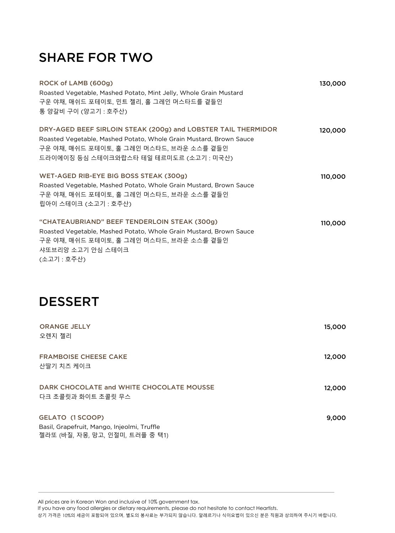# SHARE FOR TWO

| ROCK of LAMB (600g)<br>Roasted Vegetable, Mashed Potato, Mint Jelly, Whole Grain Mustard<br>구운 야채, 매쉬드 포테이토, 민트 젤리, 홀 그레인 머스타드를 곁들인<br>통 양갈비 구이 (양고기 : 호주산)                                                                | 130,000 |
|----------------------------------------------------------------------------------------------------------------------------------------------------------------------------------------------------------------------------|---------|
| DRY-AGED BEEF SIRLOIN STEAK (200g) and LOBSTER TAIL THERMIDOR<br>Roasted Vegetable, Mashed Potato, Whole Grain Mustard, Brown Sauce<br>구운 야채, 매쉬드 포테이토, 홀 그레인 머스타드, 브라운 소스를 곁들인<br>드라이에이징 등심 스테이크와랍스타 테일 테르미도르 (소고기 : 미국산) | 120,000 |
| WET-AGED RIB-EYE BIG BOSS STEAK (300g)<br>Roasted Vegetable, Mashed Potato, Whole Grain Mustard, Brown Sauce<br>구운 야채, 매쉬드 포테이토, 홀 그레인 머스타드, 브라운 소스를 곁들인<br>립아이 스테이크 (소고기 : 호주산)                                           | 110,000 |
| "CHATEAUBRIAND" BEEF TENDERLOIN STEAK (300g)<br>Roasted Vegetable, Mashed Potato, Whole Grain Mustard, Brown Sauce<br>구운 야채, 매쉬드 포테이토, 홀 그레인 머스타드, 브라운 소스를 곁들인<br>샤또브리앙 소고기 안심 스테이크<br>(소고기: 호주산)                          | 110,000 |
| <b>DESSERT</b>                                                                                                                                                                                                             |         |
| <b>ORANGE JELLY</b><br>오렌지 젤리                                                                                                                                                                                              | 15,000  |
| <b>FRAMBOISE CHEESE CAKE</b><br>산딸기 치즈 케이크                                                                                                                                                                                 | 12,000  |
| DARK CHOCOLATE and WHITE CHOCOLATE MOUSSE<br>다크 초콜릿과 화이트 초콜릿 무스                                                                                                                                                            | 12,000  |
| <b>GELATO (1 SCOOP)</b><br>Basil, Grapefruit, Mango, Injeolmi, Truffle                                                                                                                                                     | 9,000   |

All prices are in Korean Won and inclusive of 10% government tax.

젤라또 (바질, 자몽, 망고, 인절미, 트러플 중 택1)

If you have any food allergies or dietary requirements, please do not hesitate to contact Heartists.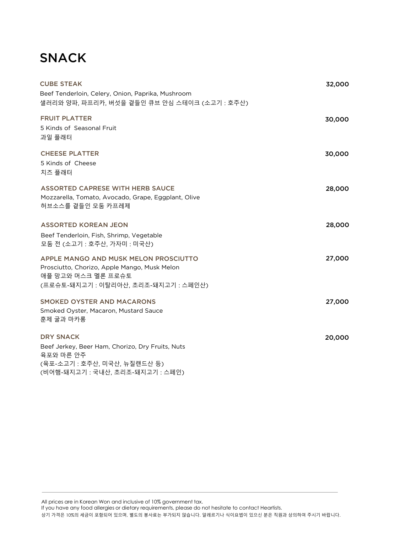# SNACK

| <b>CUBE STEAK</b><br>Beef Tenderloin, Celery, Onion, Paprika, Mushroom<br>샐러리와 양파, 파프리카, 버섯을 곁들인 큐브 안심 스테이크 (소고기 : 호주산)                               | 32,000 |
|-------------------------------------------------------------------------------------------------------------------------------------------------------|--------|
| <b>FRUIT PLATTER</b><br>5 Kinds of Seasonal Fruit<br>과일 플래터                                                                                           | 30,000 |
| <b>CHEESE PLATTER</b><br>5 Kinds of Cheese<br>치즈 플래터                                                                                                  | 30,000 |
| <b>ASSORTED CAPRESE WITH HERB SAUCE</b><br>Mozzarella, Tomato, Avocado, Grape, Eggplant, Olive<br>허브소스를 곁들인 모둠 카프레제                                   | 28,000 |
| <b>ASSORTED KOREAN JEON</b><br>Beef Tenderloin, Fish, Shrimp, Vegetable<br>모둠 전 (소고기 : 호주산, 가자미 : 미국산)                                                | 28,000 |
| APPLE MANGO AND MUSK MELON PROSCIUTTO<br>Prosciutto, Chorizo, Apple Mango, Musk Melon<br>애플 망고와 머스크 멜론 프로슈토<br>(프로슈토-돼지고기 : 이탈리아산, 초리조-돼지고기 : 스페인산)   | 27,000 |
| <b>SMOKED OYSTER AND MACARONS</b><br>Smoked Oyster, Macaron, Mustard Sauce<br>훈제 굴과 마카롱                                                               | 27,000 |
| <b>DRY SNACK</b><br>Beef Jerkey, Beer Ham, Chorizo, Dry Fruits, Nuts<br>육포와 마른 안주<br>(육포-소고기 : 호주산, 미국산, 뉴질랜드산 등)<br>(비어햄-돼지고기 : 국내산, 초리조-돼지고기 : 스페인) | 20,000 |

All prices are in Korean Won and inclusive of 10% government tax.

If you have any food allergies or dietary requirements, please do not hesitate to contact Heartists.